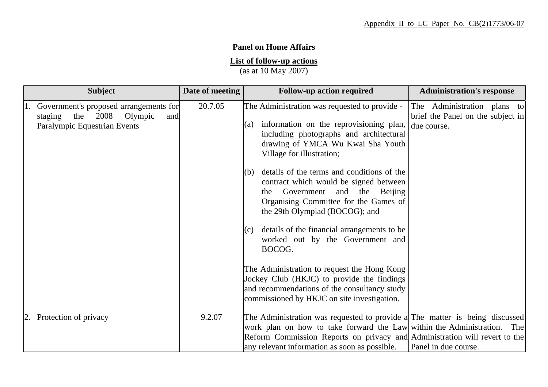## **Panel on Home Affairs**

## **List of follow-up actions**

(as at 10 May 2007)

| <b>Subject</b>                                                                                                       | Date of meeting | <b>Follow-up action required</b>                                                                                                                                                                                                                                                      | <b>Administration's response</b>                                                |
|----------------------------------------------------------------------------------------------------------------------|-----------------|---------------------------------------------------------------------------------------------------------------------------------------------------------------------------------------------------------------------------------------------------------------------------------------|---------------------------------------------------------------------------------|
| 1. Government's proposed arrangements for<br>Olympic<br>the $2008$<br>staging<br>and<br>Paralympic Equestrian Events | 20.7.05         | The Administration was requested to provide -<br>information on the reprovisioning plan,<br>(a)<br>including photographs and architectural<br>drawing of YMCA Wu Kwai Sha Youth<br>Village for illustration;                                                                          | The Administration plans to<br>brief the Panel on the subject in<br>due course. |
|                                                                                                                      |                 | $(6)$ details of the terms and conditions of the<br>contract which would be signed between<br>Government<br>and the<br>Beijing<br>the<br>Organising Committee for the Games of<br>the 29th Olympiad (BOCOG); and                                                                      |                                                                                 |
|                                                                                                                      |                 | details of the financial arrangements to be<br>(c)<br>worked out by the Government and<br>BOCOG.                                                                                                                                                                                      |                                                                                 |
|                                                                                                                      |                 | The Administration to request the Hong Kong<br>Jockey Club (HKJC) to provide the findings<br>and recommendations of the consultancy study<br>commissioned by HKJC on site investigation.                                                                                              |                                                                                 |
| 2. Protection of privacy                                                                                             | 9.2.07          | The Administration was requested to provide a The matter is being discussed<br>work plan on how to take forward the Law within the Administration. The<br>Reform Commission Reports on privacy and Administration will revert to the<br>any relevant information as soon as possible. | Panel in due course.                                                            |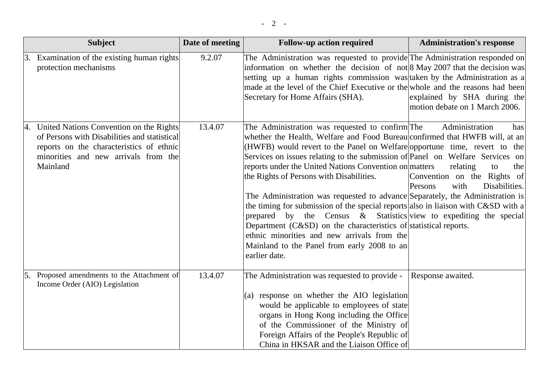|                | <b>Subject</b>                                                                                                                                                                             | Date of meeting | <b>Follow-up action required</b>                                                                                                                                                                                                                                                                                                                                                                                                                                                                                                                                                                                                                                                                                                                                                                                                    | <b>Administration's response</b>                                                                                  |
|----------------|--------------------------------------------------------------------------------------------------------------------------------------------------------------------------------------------|-----------------|-------------------------------------------------------------------------------------------------------------------------------------------------------------------------------------------------------------------------------------------------------------------------------------------------------------------------------------------------------------------------------------------------------------------------------------------------------------------------------------------------------------------------------------------------------------------------------------------------------------------------------------------------------------------------------------------------------------------------------------------------------------------------------------------------------------------------------------|-------------------------------------------------------------------------------------------------------------------|
| 13.            | Examination of the existing human rights<br>protection mechanisms                                                                                                                          | 9.2.07          | The Administration was requested to provide The Administration responded on<br>information on whether the decision of not 8 May 2007 that the decision was<br>setting up a human rights commission was taken by the Administration as a<br>made at the level of the Chief Executive or the whole and the reasons had been<br>Secretary for Home Affairs (SHA).                                                                                                                                                                                                                                                                                                                                                                                                                                                                      | explained by SHA during the<br>motion debate on 1 March 2006.                                                     |
|                | 4. United Nations Convention on the Rights<br>of Persons with Disabilities and statistical<br>reports on the characteristics of ethnic<br>minorities and new arrivals from the<br>Mainland | 13.4.07         | The Administration was requested to confirm The<br>whether the Health, Welfare and Food Bureau confirmed that HWFB will, at an<br>(HWFB) would revert to the Panel on Welfare opportune time, revert to the<br>Services on issues relating to the submission of Panel on Welfare Services on<br>reports under the United Nations Convention on matters<br>the Rights of Persons with Disabilities.<br>The Administration was requested to advance Separately, the Administration is<br>the timing for submission of the special reports also in liaison with C&SD with a<br>prepared by the Census & Statistics view to expediting the special<br>Department $(C&SD)$ on the characteristics of statistical reports.<br>ethnic minorities and new arrivals from the<br>Mainland to the Panel from early 2008 to an<br>earlier date. | Administration<br>has<br>relating<br>to<br>the<br>Convention on the Rights of<br>Persons<br>Disabilities.<br>with |
| <sup>15.</sup> | Proposed amendments to the Attachment of<br>Income Order (AIO) Legislation                                                                                                                 | 13.4.07         | The Administration was requested to provide -<br>(a) response on whether the AIO legislation<br>would be applicable to employees of state<br>organs in Hong Kong including the Office<br>of the Commissioner of the Ministry of<br>Foreign Affairs of the People's Republic of<br>China in HKSAR and the Liaison Office of                                                                                                                                                                                                                                                                                                                                                                                                                                                                                                          | Response awaited.                                                                                                 |